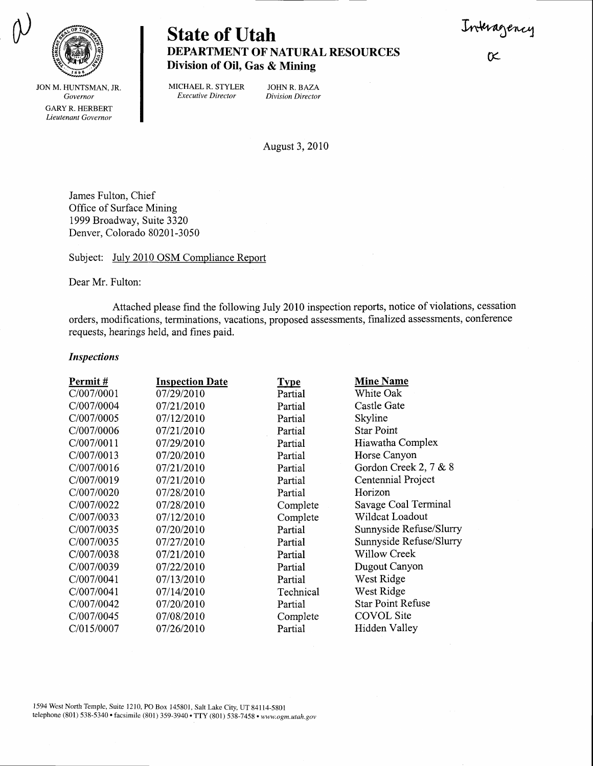Interagenc



State of Utah DEPARTMENT OF NATURAL RESOURCES Division of Oil, Gas & Mining

 $\propto$ 

JON M. HUNTSMAN, JR. Governor GARY R. HERBERT Lieutenant Governor

MICHAEL R. STYLER JOHN R. BAZA<br>Executive Director Division Director

Division Director

August 3, 2010

James Fulton, Chief Office of Surface Mining 1999 Broadway, Suite 3320 Denver, Colorado 80201-3050

Subject: July 2010 OSM Compliance Report

Dear Mr. Fulton:

Attached please find the following July 2010 inspection reports, notice of violations, cessation orders, modifications, terminations, vacations, proposed assessments, finalized assessments, conference requests, hearings held, and fines paid.

## Inspections

| Permit#    | <b>Inspection Date</b> | <b>Type</b> | <b>Mine Name</b>         |
|------------|------------------------|-------------|--------------------------|
| C/007/0001 | 07/29/2010             | Partial     | White Oak                |
| C/007/0004 | 07/21/2010             | Partial     | Castle Gate              |
| C/007/0005 | 07/12/2010             | Partial     | Skyline                  |
| C/007/0006 | 07/21/2010             | Partial     | <b>Star Point</b>        |
| C/007/0011 | 07/29/2010             | Partial     | Hiawatha Complex         |
| C/007/0013 | 07/20/2010             | Partial     | Horse Canyon             |
| C/007/0016 | 07/21/2010             | Partial     | Gordon Creek 2, 7 & 8    |
| C/007/0019 | 07/21/2010             | Partial     | Centennial Project       |
| C/007/0020 | 07/28/2010             | Partial     | Horizon                  |
| C/007/0022 | 07/28/2010             | Complete    | Savage Coal Terminal     |
| C/007/0033 | 07/12/2010             | Complete    | Wildcat Loadout          |
| C/007/0035 | 07/20/2010             | Partial     | Sunnyside Refuse/Slurry  |
| C/007/0035 | 07/27/2010             | Partial     | Sunnyside Refuse/Slurry  |
| C/007/0038 | 07/21/2010             | Partial     | <b>Willow Creek</b>      |
| C/007/0039 | 07/22/2010             | Partial     | Dugout Canyon            |
| C/007/0041 | 07/13/2010             | Partial     | West Ridge               |
| C/007/0041 | 07/14/2010             | Technical   | West Ridge               |
| C/007/0042 | 07/20/2010             | Partial     | <b>Star Point Refuse</b> |
| C/007/0045 | 07/08/2010             | Complete    | <b>COVOL</b> Site        |
| C/015/0007 | 07/26/2010             | Partial     | Hidden Valley            |